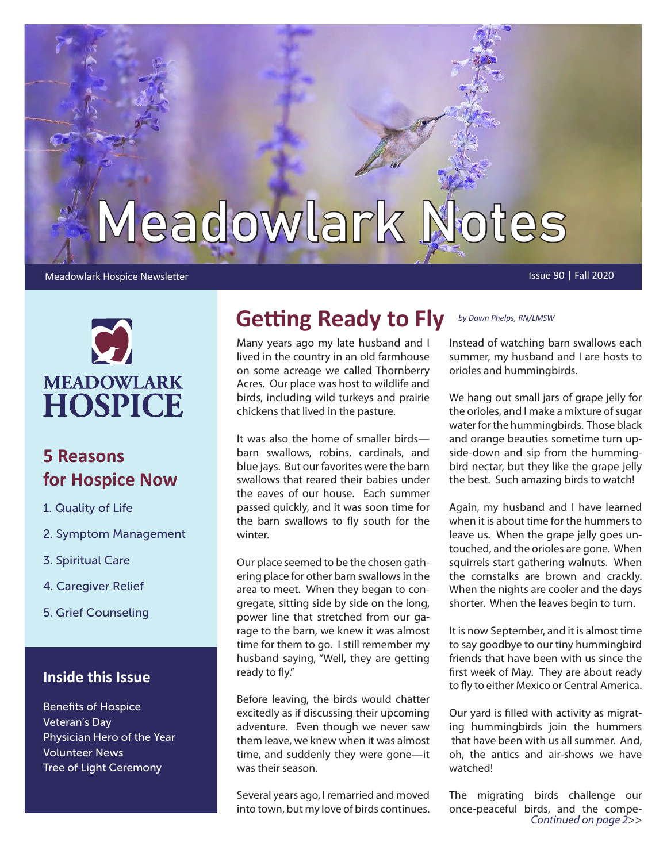# Meadowlark Notes

#### Meadowlark Hospice Newsletter **Issue 90 | Fall 2020** Constant in the United States of the United States of the U



### **5 Reasons for Hospice Now**

- 1. Quality of Life
- 2. Symptom Management
- 3. Spiritual Care
- 4. Caregiver Relief
- 5. Grief Counseling

#### **Inside this Issue**

Benefits of Hospice Veteran's Day Physician Hero of the Year Volunteer News Tree of Light Ceremony

### **Getting Ready to Fly** *by Dawn Phelps, RN/LMSW*

Many years ago my late husband and I lived in the country in an old farmhouse on some acreage we called Thornberry Acres. Our place was host to wildlife and birds, including wild turkeys and prairie chickens that lived in the pasture.

It was also the home of smaller birds barn swallows, robins, cardinals, and blue jays. But our favorites were the barn swallows that reared their babies under the eaves of our house. Each summer passed quickly, and it was soon time for the barn swallows to fly south for the winter.

Our place seemed to be the chosen gathering place for other barn swallows in the area to meet. When they began to congregate, sitting side by side on the long, power line that stretched from our garage to the barn, we knew it was almost time for them to go. I still remember my husband saying, "Well, they are getting ready to fly."

Before leaving, the birds would chatter excitedly as if discussing their upcoming adventure. Even though we never saw them leave, we knew when it was almost time, and suddenly they were gone—it was their season.

Several years ago, I remarried and moved into town, but my love of birds continues.

Instead of watching barn swallows each summer, my husband and I are hosts to orioles and hummingbirds.

We hang out small jars of grape jelly for the orioles, and I make a mixture of sugar water for the hummingbirds. Those black and orange beauties sometime turn upside-down and sip from the hummingbird nectar, but they like the grape jelly the best. Such amazing birds to watch!

Again, my husband and I have learned when it is about time for the hummers to leave us. When the grape jelly goes untouched, and the orioles are gone. When squirrels start gathering walnuts. When the cornstalks are brown and crackly. When the nights are cooler and the days shorter. When the leaves begin to turn.

It is now September, and it is almost time to say goodbye to our tiny hummingbird friends that have been with us since the first week of May. They are about ready to fly to either Mexico or Central America.

Our yard is filled with activity as migrating hummingbirds join the hummers that have been with us all summer. And, oh, the antics and air-shows we have watched!

The migrating birds challenge our once-peaceful birds, and the compe-*Continued on page 2*>>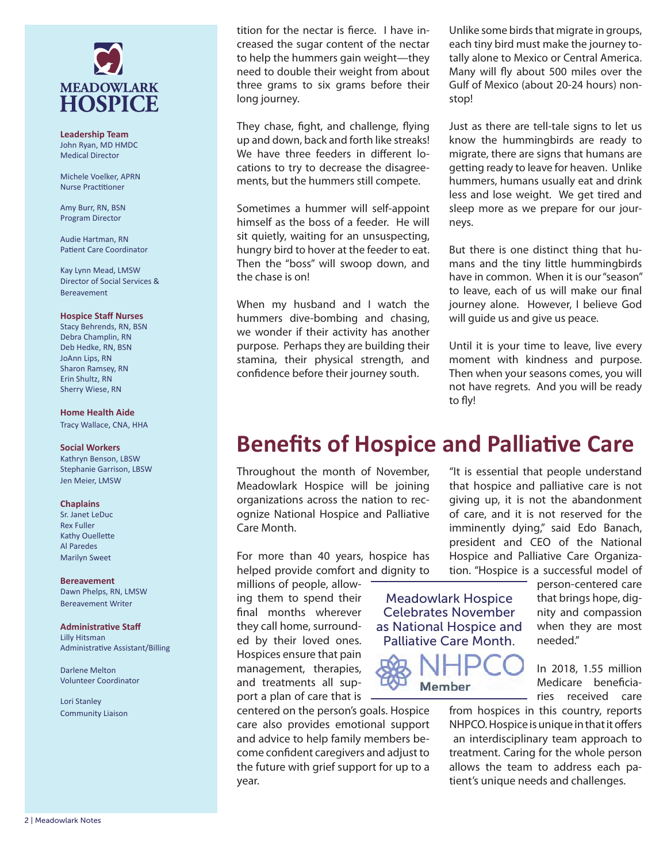

**Leadership Team** John Ryan, MD HMDC Medical Director

Michele Voelker, APRN Nurse Practitioner

Amy Burr, RN, BSN Program Director

Audie Hartman, RN Patient Care Coordinator

Kay Lynn Mead, LMSW Director of Social Services & Bereavement

#### **Hospice Staff Nurses**

Stacy Behrends, RN, BSN Debra Champlin, RN Deb Hedke, RN, BSN JoAnn Lips, RN Sharon Ramsey, RN Erin Shultz, RN Sherry Wiese, RN

#### **Home Health Aide**

Tracy Wallace, CNA, HHA

#### **Social Workers**

Kathryn Benson, LBSW Stephanie Garrison, LBSW Jen Meier, LMSW

#### **Chaplains**

Sr. Janet LeDuc Rex Fuller Kathy Ouellette Al Paredes Marilyn Sweet

#### **Bereavement** Dawn Phelps, RN, LMSW

Bereavement Writer

**Administrative Staff** Lilly Hitsman Administrative Assistant/Billing

Darlene Melton Volunteer Coordinator

Lori Stanley Community Liaison

tition for the nectar is fierce. I have increased the sugar content of the nectar to help the hummers gain weight—they need to double their weight from about three grams to six grams before their long journey.

They chase, fight, and challenge, flying up and down, back and forth like streaks! We have three feeders in different locations to try to decrease the disagreements, but the hummers still compete.

Sometimes a hummer will self-appoint himself as the boss of a feeder. He will sit quietly, waiting for an unsuspecting, hungry bird to hover at the feeder to eat. Then the "boss" will swoop down, and the chase is on!

When my husband and I watch the hummers dive-bombing and chasing, we wonder if their activity has another purpose. Perhaps they are building their stamina, their physical strength, and confidence before their journey south.

Unlike some birds that migrate in groups, each tiny bird must make the journey totally alone to Mexico or Central America. Many will fly about 500 miles over the Gulf of Mexico (about 20-24 hours) nonstop!

Just as there are tell-tale signs to let us know the hummingbirds are ready to migrate, there are signs that humans are getting ready to leave for heaven. Unlike hummers, humans usually eat and drink less and lose weight. We get tired and sleep more as we prepare for our journeys.

But there is one distinct thing that humans and the tiny little hummingbirds have in common. When it is our "season" to leave, each of us will make our final journey alone. However, I believe God will guide us and give us peace.

Until it is your time to leave, live every moment with kindness and purpose. Then when your seasons comes, you will not have regrets. And you will be ready to fly!

### **Benefits of Hospice and Palliative Care**

Throughout the month of November, Meadowlark Hospice will be joining organizations across the nation to recognize National Hospice and Palliative Care Month.

For more than 40 years, hospice has helped provide comfort and dignity to

millions of people, allowing them to spend their final months wherever they call home, surrounded by their loved ones. Hospices ensure that pain management, therapies, and treatments all support a plan of care that is

centered on the person's goals. Hospice care also provides emotional support and advice to help family members become confident caregivers and adjust to the future with grief support for up to a year.

"It is essential that people understand that hospice and palliative care is not giving up, it is not the abandonment of care, and it is not reserved for the imminently dying," said Edo Banach, president and CEO of the National Hospice and Palliative Care Organization. "Hospice is a successful model of

Meadowlark Hospice Celebrates November as National Hospice and Palliative Care Month.



person-centered care that brings hope, dignity and compassion when they are most needed."

In 2018, 1.55 million Medicare beneficiaries received care

from hospices in this country, reports NHPCO. Hospice is unique in that it offers an interdisciplinary team approach to treatment. Caring for the whole person allows the team to address each patient's unique needs and challenges.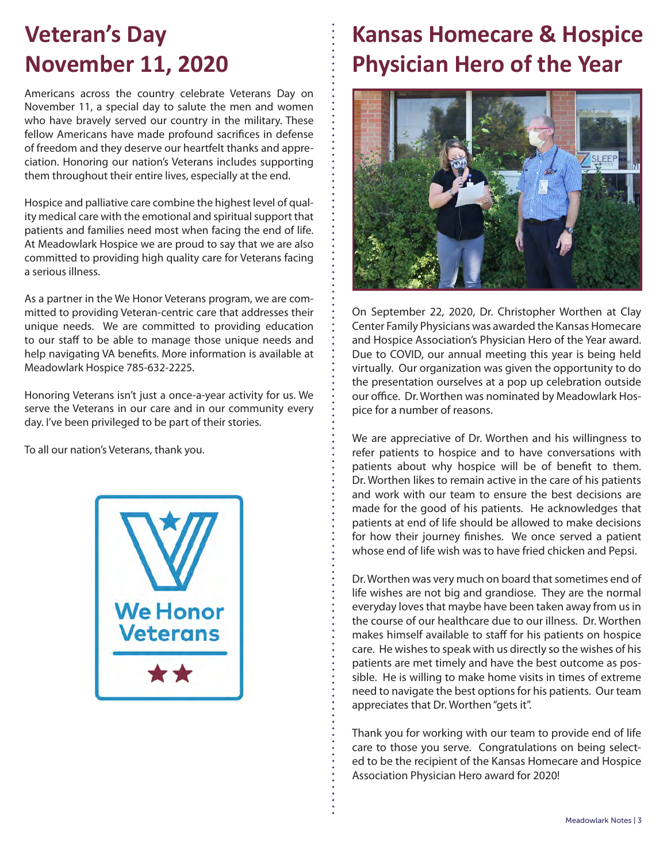### **Veteran's Day November 11, 2020**

Americans across the country celebrate Veterans Day on November 11, a special day to salute the men and women who have bravely served our country in the military. These fellow Americans have made profound sacrifices in defense of freedom and they deserve our heartfelt thanks and appreciation. Honoring our nation's Veterans includes supporting them throughout their entire lives, especially at the end.

Hospice and palliative care combine the highest level of quality medical care with the emotional and spiritual support that patients and families need most when facing the end of life. At Meadowlark Hospice we are proud to say that we are also committed to providing high quality care for Veterans facing a serious illness.

As a partner in the We Honor Veterans program, we are committed to providing Veteran-centric care that addresses their unique needs. We are committed to providing education to our staff to be able to manage those unique needs and help navigating VA benefits. More information is available at Meadowlark Hospice 785-632-2225.

Honoring Veterans isn't just a once-a-year activity for us. We serve the Veterans in our care and in our community every day. I've been privileged to be part of their stories.

To all our nation's Veterans, thank you.



### **Kansas Homecare & Hospice Physician Hero of the Year**



On September 22, 2020, Dr. Christopher Worthen at Clay Center Family Physicians was awarded the Kansas Homecare and Hospice Association's Physician Hero of the Year award. Due to COVID, our annual meeting this year is being held virtually. Our organization was given the opportunity to do the presentation ourselves at a pop up celebration outside our office. Dr. Worthen was nominated by Meadowlark Hospice for a number of reasons.

We are appreciative of Dr. Worthen and his willingness to refer patients to hospice and to have conversations with patients about why hospice will be of benefit to them. Dr. Worthen likes to remain active in the care of his patients and work with our team to ensure the best decisions are made for the good of his patients. He acknowledges that patients at end of life should be allowed to make decisions for how their journey finishes. We once served a patient whose end of life wish was to have fried chicken and Pepsi.

Dr. Worthen was very much on board that sometimes end of life wishes are not big and grandiose. They are the normal everyday loves that maybe have been taken away from us in the course of our healthcare due to our illness. Dr. Worthen makes himself available to staff for his patients on hospice care. He wishes to speak with us directly so the wishes of his patients are met timely and have the best outcome as possible. He is willing to make home visits in times of extreme need to navigate the best options for his patients. Our team appreciates that Dr. Worthen "gets it".

Thank you for working with our team to provide end of life care to those you serve. Congratulations on being selected to be the recipient of the Kansas Homecare and Hospice Association Physician Hero award for 2020!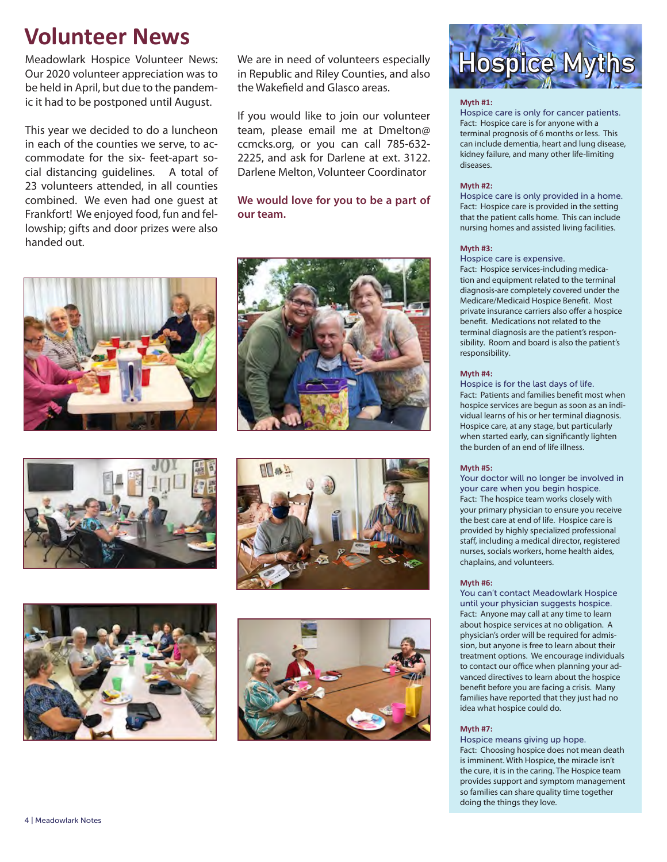### **Volunteer News**

Meadowlark Hospice Volunteer News: Our 2020 volunteer appreciation was to be held in April, but due to the pandemic it had to be postponed until August.

This year we decided to do a luncheon in each of the counties we serve, to accommodate for the six- feet-apart social distancing guidelines. A total of 23 volunteers attended, in all counties combined. We even had one guest at Frankfort! We enjoyed food, fun and fellowship; gifts and door prizes were also handed out.

We are in need of volunteers especially in Republic and Riley Counties, and also the Wakefield and Glasco areas.

If you would like to join our volunteer team, please email me at Dmelton@ ccmcks.org, or you can call 785-632- 2225, and ask for Darlene at ext. 3122. Darlene Melton, Volunteer Coordinator

#### **We would love for you to be a part of our team.**















#### **Myth #1:**

Hospice care is only for cancer patients. Fact: Hospice care is for anyone with a terminal prognosis of 6 months or less. This can include dementia, heart and lung disease, kidney failure, and many other life-limiting diseases.

#### **Myth #2:**

Hospice care is only provided in a home. Fact: Hospice care is provided in the setting that the patient calls home. This can include nursing homes and assisted living facilities.

#### **Myth #3:**

Hospice care is expensive.

Fact: Hospice services-including medication and equipment related to the terminal diagnosis-are completely covered under the Medicare/Medicaid Hospice Benefit. Most private insurance carriers also offer a hospice benefit. Medications not related to the terminal diagnosis are the patient's responsibility. Room and board is also the patient's responsibility.

#### **Myth #4:**

Hospice is for the last days of life. Fact: Patients and families benefit most when hospice services are begun as soon as an individual learns of his or her terminal diagnosis. Hospice care, at any stage, but particularly when started early, can significantly lighten the burden of an end of life illness.

#### **Myth #5:**

Your doctor will no longer be involved in your care when you begin hospice. Fact: The hospice team works closely with your primary physician to ensure you receive the best care at end of life. Hospice care is provided by highly specialized professional staff, including a medical director, registered nurses, socials workers, home health aides, chaplains, and volunteers.

#### **Myth #6:**

You can't contact Meadowlark Hospice until your physician suggests hospice. Fact: Anyone may call at any time to learn about hospice services at no obligation. A physician's order will be required for admission, but anyone is free to learn about their treatment options. We encourage individuals to contact our office when planning your advanced directives to learn about the hospice benefit before you are facing a crisis. Many families have reported that they just had no idea what hospice could do.

#### **Myth #7:**

Hospice means giving up hope. Fact: Choosing hospice does not mean death is imminent. With Hospice, the miracle isn't the cure, it is in the caring. The Hospice team provides support and symptom management so families can share quality time together doing the things they love.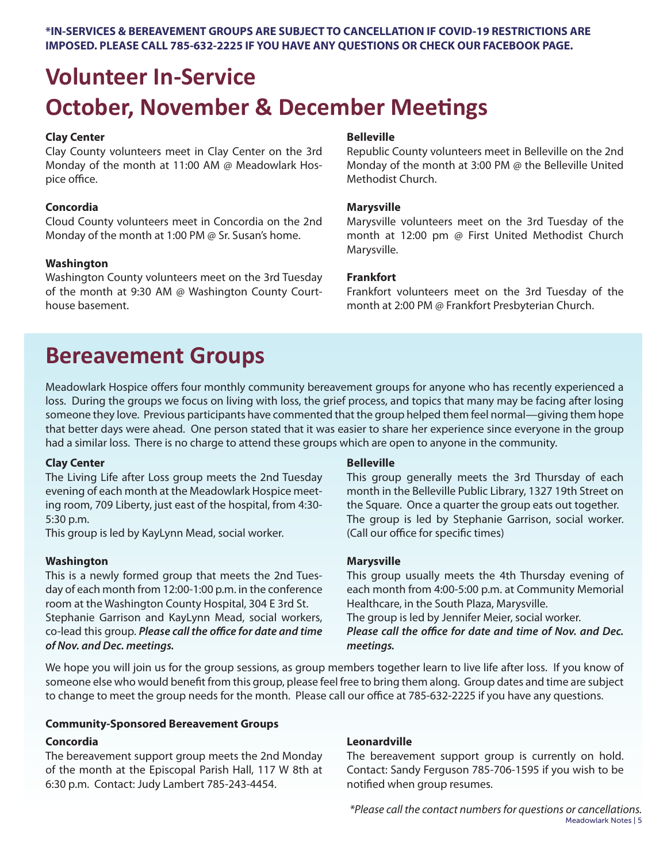**\*IN-SERVICES & BEREAVEMENT GROUPS ARE SUBJECT TO CANCELLATION IF COVID-19 RESTRICTIONS ARE IMPOSED. PLEASE CALL 785-632-2225 IF YOU HAVE ANY QUESTIONS OR CHECK OUR FACEBOOK PAGE.**

## **Volunteer In-Service October, November & December Meetings**

#### **Clay Center**

Clay County volunteers meet in Clay Center on the 3rd Monday of the month at 11:00 AM @ Meadowlark Hospice office.

#### **Concordia**

Cloud County volunteers meet in Concordia on the 2nd Monday of the month at 1:00 PM @ Sr. Susan's home.

#### **Washington**

Washington County volunteers meet on the 3rd Tuesday of the month at 9:30 AM @ Washington County Courthouse basement.

#### **Belleville**

Republic County volunteers meet in Belleville on the 2nd Monday of the month at 3:00 PM @ the Belleville United Methodist Church.

#### **Marysville**

Marysville volunteers meet on the 3rd Tuesday of the month at 12:00 pm @ First United Methodist Church Marysville.

#### **Frankfort**

Frankfort volunteers meet on the 3rd Tuesday of the month at 2:00 PM @ Frankfort Presbyterian Church.

### **Bereavement Groups**

Meadowlark Hospice offers four monthly community bereavement groups for anyone who has recently experienced a loss. During the groups we focus on living with loss, the grief process, and topics that many may be facing after losing someone they love. Previous participants have commented that the group helped them feel normal—giving them hope that better days were ahead. One person stated that it was easier to share her experience since everyone in the group had a similar loss. There is no charge to attend these groups which are open to anyone in the community.

#### **Clay Center**

The Living Life after Loss group meets the 2nd Tuesday evening of each month at the Meadowlark Hospice meeting room, 709 Liberty, just east of the hospital, from 4:30- 5:30 p.m.

This group is led by KayLynn Mead, social worker.

#### **Washington**

This is a newly formed group that meets the 2nd Tuesday of each month from 12:00-1:00 p.m. in the conference room at the Washington County Hospital, 304 E 3rd St. Stephanie Garrison and KayLynn Mead, social workers, co-lead this group. *Please call the office for date and time of Nov. and Dec. meetings.*

#### **Belleville**

This group generally meets the 3rd Thursday of each month in the Belleville Public Library, 1327 19th Street on the Square. Once a quarter the group eats out together. The group is led by Stephanie Garrison, social worker. (Call our office for specific times)

#### **Marysville**

This group usually meets the 4th Thursday evening of each month from 4:00-5:00 p.m. at Community Memorial Healthcare, in the South Plaza, Marysville.

The group is led by Jennifer Meier, social worker. *Please call the office for date and time of Nov. and Dec. meetings.*

We hope you will join us for the group sessions, as group members together learn to live life after loss. If you know of someone else who would benefit from this group, please feel free to bring them along. Group dates and time are subject to change to meet the group needs for the month. Please call our office at 785-632-2225 if you have any questions.

#### **Community-Sponsored Bereavement Groups**

#### **Concordia**

The bereavement support group meets the 2nd Monday of the month at the Episcopal Parish Hall, 117 W 8th at 6:30 p.m. Contact: Judy Lambert 785-243-4454.

#### **Leonardville**

The bereavement support group is currently on hold. Contact: Sandy Ferguson 785-706-1595 if you wish to be notified when group resumes.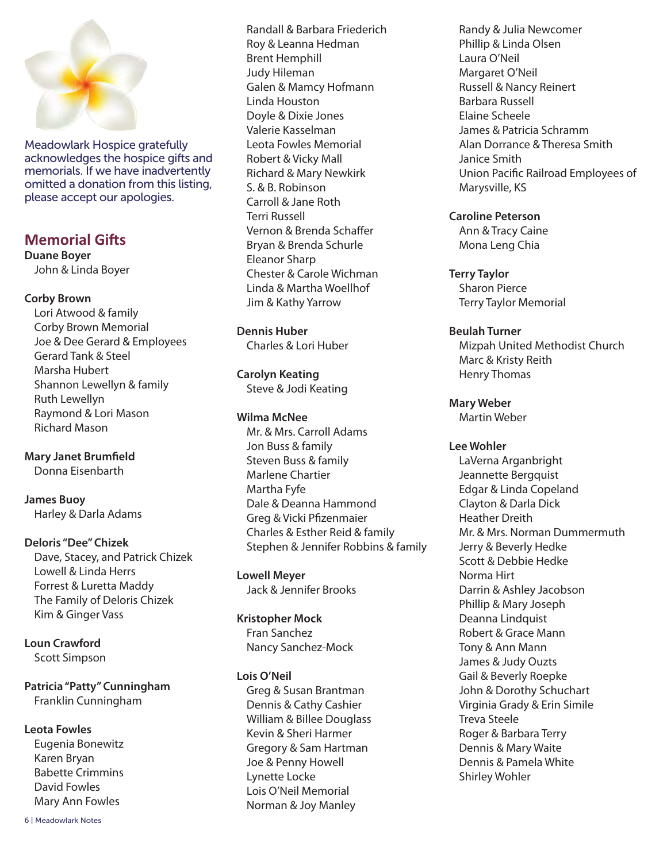

Meadowlark Hospice gratefully acknowledges the hospice gifts and memorials. If we have inadvertently omitted a donation from this listing, please accept our apologies.

### **Memorial Gifts**

**Duane Boyer** John & Linda Boyer

#### **Corby Brown**

Lori Atwood & family Corby Brown Memorial Joe & Dee Gerard & Employees Gerard Tank & Steel Marsha Hubert Shannon Lewellyn & family Ruth Lewellyn Raymond & Lori Mason Richard Mason

**Mary Janet Brumfield** Donna Eisenbarth

**James Buoy** Harley & Darla Adams

#### **Deloris "Dee" Chizek**

Dave, Stacey, and Patrick Chizek Lowell & Linda Herrs Forrest & Luretta Maddy The Family of Deloris Chizek Kim & Ginger Vass

**Loun Crawford** Scott Simpson

**Patricia "Patty" Cunningham** Franklin Cunningham

#### **Leota Fowles**

Eugenia Bonewitz Karen Bryan Babette Crimmins David Fowles Mary Ann Fowles

Randall & Barbara Friederich Roy & Leanna Hedman Brent Hemphill Judy Hileman Galen & Mamcy Hofmann Linda Houston Doyle & Dixie Jones Valerie Kasselman Leota Fowles Memorial Robert & Vicky Mall Richard & Mary Newkirk S. & B. Robinson Carroll & Jane Roth Terri Russell Vernon & Brenda Schaffer Bryan & Brenda Schurle Eleanor Sharp Chester & Carole Wichman Linda & Martha Woellhof Jim & Kathy Yarrow

**Dennis Huber** Charles & Lori Huber

### **Carolyn Keating**

Steve & Jodi Keating

#### **Wilma McNee**

Mr. & Mrs. Carroll Adams Jon Buss & family Steven Buss & family Marlene Chartier Martha Fyfe Dale & Deanna Hammond Greg & Vicki Pfizenmaier Charles & Esther Reid & family Stephen & Jennifer Robbins & family

**Lowell Meyer** Jack & Jennifer Brooks

#### **Kristopher Mock**

Fran Sanchez Nancy Sanchez-Mock

#### **Lois O'Neil**

Greg & Susan Brantman Dennis & Cathy Cashier William & Billee Douglass Kevin & Sheri Harmer Gregory & Sam Hartman Joe & Penny Howell Lynette Locke Lois O'Neil Memorial Norman & Joy Manley

Randy & Julia Newcomer Phillip & Linda Olsen Laura O'Neil Margaret O'Neil Russell & Nancy Reinert Barbara Russell Elaine Scheele James & Patricia Schramm Alan Dorrance & Theresa Smith Janice Smith Union Pacific Railroad Employees of Marysville, KS

#### **Caroline Peterson**

Ann & Tracy Caine Mona Leng Chia

**Terry Taylor**

Sharon Pierce Terry Taylor Memorial

#### **Beulah Turner**

Mizpah United Methodist Church Marc & Kristy Reith Henry Thomas

#### **Mary Weber**

Martin Weber

#### **Lee Wohler**

LaVerna Arganbright Jeannette Bergquist Edgar & Linda Copeland Clayton & Darla Dick Heather Dreith Mr. & Mrs. Norman Dummermuth Jerry & Beverly Hedke Scott & Debbie Hedke Norma Hirt Darrin & Ashley Jacobson Phillip & Mary Joseph Deanna Lindquist Robert & Grace Mann Tony & Ann Mann James & Judy Ouzts Gail & Beverly Roepke John & Dorothy Schuchart Virginia Grady & Erin Simile Treva Steele Roger & Barbara Terry Dennis & Mary Waite Dennis & Pamela White Shirley Wohler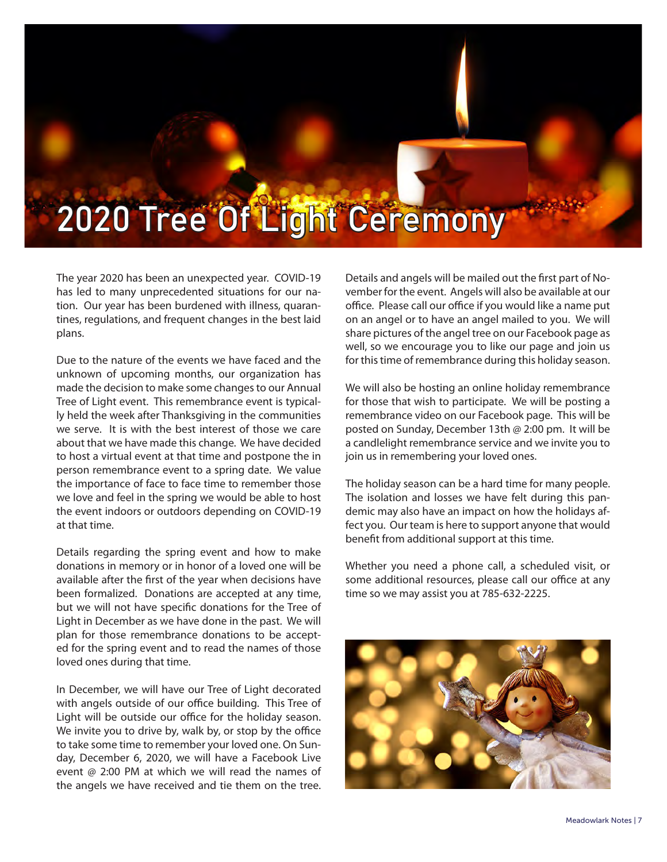# 2020 Tree Of Light Ceremony

The year 2020 has been an unexpected year. COVID-19 has led to many unprecedented situations for our nation. Our year has been burdened with illness, quarantines, regulations, and frequent changes in the best laid plans.

Due to the nature of the events we have faced and the unknown of upcoming months, our organization has made the decision to make some changes to our Annual Tree of Light event. This remembrance event is typically held the week after Thanksgiving in the communities we serve. It is with the best interest of those we care about that we have made this change. We have decided to host a virtual event at that time and postpone the in person remembrance event to a spring date. We value the importance of face to face time to remember those we love and feel in the spring we would be able to host the event indoors or outdoors depending on COVID-19 at that time.

Details regarding the spring event and how to make donations in memory or in honor of a loved one will be available after the first of the year when decisions have been formalized. Donations are accepted at any time, but we will not have specific donations for the Tree of Light in December as we have done in the past. We will plan for those remembrance donations to be accepted for the spring event and to read the names of those loved ones during that time.

In December, we will have our Tree of Light decorated with angels outside of our office building. This Tree of Light will be outside our office for the holiday season. We invite you to drive by, walk by, or stop by the office to take some time to remember your loved one. On Sunday, December 6, 2020, we will have a Facebook Live event @ 2:00 PM at which we will read the names of the angels we have received and tie them on the tree.

Details and angels will be mailed out the first part of November for the event. Angels will also be available at our office. Please call our office if you would like a name put on an angel or to have an angel mailed to you. We will share pictures of the angel tree on our Facebook page as well, so we encourage you to like our page and join us for this time of remembrance during this holiday season.

We will also be hosting an online holiday remembrance for those that wish to participate. We will be posting a remembrance video on our Facebook page. This will be posted on Sunday, December 13th @ 2:00 pm. It will be a candlelight remembrance service and we invite you to join us in remembering your loved ones.

The holiday season can be a hard time for many people. The isolation and losses we have felt during this pandemic may also have an impact on how the holidays affect you. Our team is here to support anyone that would benefit from additional support at this time.

Whether you need a phone call, a scheduled visit, or some additional resources, please call our office at any time so we may assist you at 785-632-2225.